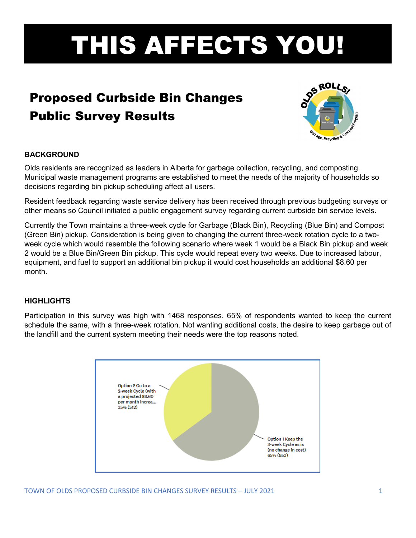# THIS AFFECTS YOU!

# Proposed Curbside Bin Changes Public Survey Results



# **BACKGROUND**

Olds residents are recognized as leaders in Alberta for garbage collection, recycling, and composting. Municipal waste management programs are established to meet the needs of the majority of households so decisions regarding bin pickup scheduling affect all users.

Resident feedback regarding waste service delivery has been received through previous budgeting surveys or other means so Council initiated a public engagement survey regarding current curbside bin service levels.

Currently the Town maintains a three-week cycle for Garbage (Black Bin), Recycling (Blue Bin) and Compost (Green Bin) pickup. Consideration is being given to changing the current three-week rotation cycle to a twoweek cycle which would resemble the following scenario where week 1 would be a Black Bin pickup and week 2 would be a Blue Bin/Green Bin pickup. This cycle would repeat every two weeks. Due to increased labour, equipment, and fuel to support an additional bin pickup it would cost households an additional \$8.60 per month.

# **HIGHLIGHTS**

Participation in this survey was high with 1468 responses. 65% of respondents wanted to keep the current schedule the same, with a three-week rotation. Not wanting additional costs, the desire to keep garbage out of the landfill and the current system meeting their needs were the top reasons noted.